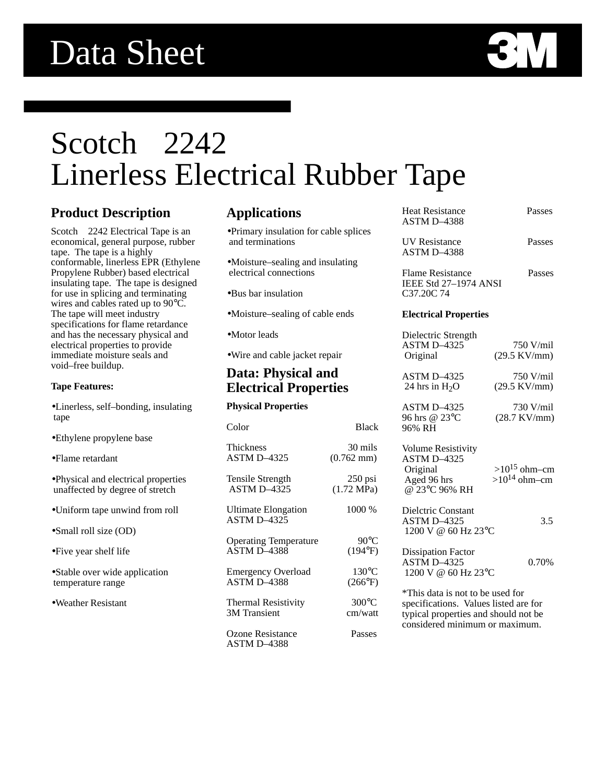

# Scotch<sup>™</sup> 2242 Linerless Electrical Rubber Tape

## **Product Description**

Scotch<sup>™</sup> 2242 Electrical Tape is an economical, general purpose, rubber tape. The tape is a highly conformable, linerless EPR (Ethylene Propylene Rubber) based electrical insulating tape. The tape is designed for use in splicing and terminating wires and cables rated up to 90°C. The tape will meet industry specifications for flame retardance and has the necessary physical and electrical properties to provide immediate moisture seals and void–free buildup.

#### **Tape Features:**

- •Linerless, self–bonding, insulating tape
- •Ethylene propylene base
- •Flame retardant
- •Physical and electrical properties unaffected by degree of stretch
- •Uniform tape unwind from roll
- •Small roll size (OD)
- •Five year shelf life
- •Stable over wide application temperature range
- •Weather Resistant

### **Applications**

- •Primary insulation for cable splices and terminations
- •Moisture–sealing and insulating electrical connections
- •Bus bar insulation
- •Moisture–sealing of cable ends
- •Motor leads
- •Wire and cable jacket repair

## **Data: Physical and Electrical Properties**

|  | <b>Physical Properties</b> |
|--|----------------------------|
|--|----------------------------|

| Color                              | <b>Black</b>         |
|------------------------------------|----------------------|
| <b>Thickness</b>                   | 30 mils              |
| <b>ASTM D-4325</b>                 | $(0.762 \text{ mm})$ |
| Tensile Strength                   | $250$ psi            |
| ASTM D-4325                        | $(1.72 \text{ MPa})$ |
| Ultimate Elongation<br>ASTM D-4325 | 1000 %               |
| <b>Operating Temperature</b>       | $90^{\circ}$ C       |
| <b>ASTM D-4388</b>                 | (194°F)              |
| <b>Emergency Overload</b>          | $130^{\circ}$ C      |
| <b>ASTM D-4388</b>                 | $(266^{\circ}F)$     |
| <b>Thermal Resistivity</b>         | $300^{\circ}$ C      |
| <b>3M</b> Transient                | cm/watt              |
| Ozone Resistance<br>ASTM D-4388    | Passes               |

| <b>Heat Resistance</b><br><b>ASTM D-4388</b>                                                                                                        | Passes                                 |  |
|-----------------------------------------------------------------------------------------------------------------------------------------------------|----------------------------------------|--|
| <b>UV</b> Resistance<br>ASTM D-4388                                                                                                                 | Passes                                 |  |
| <b>Flame Resistance</b><br>IEEE Std 27-1974 ANSI<br>C37.20C74                                                                                       | Passes                                 |  |
| <b>Electrical Properties</b>                                                                                                                        |                                        |  |
| Dielectric Strength<br><b>ASTM D-4325</b><br>Original                                                                                               | 750 V/mil<br>$(29.5 \text{ KV/mm})$    |  |
| ASTM D-4325<br>24 hrs in $H_2O$                                                                                                                     | 750 V/mil<br>$(29.5 \text{ KV/mm})$    |  |
| ASTM D-4325<br>96 hrs @ 23°C<br>96% RH                                                                                                              | 730 V/mil<br>$(28.7 \text{ KV/mm})$    |  |
| <b>Volume Resistivity</b><br>ASTM D-4325<br>Original<br>Aged 96 hrs<br>@ 23°C 96% RH                                                                | $>10^{15}$ ohm-cm<br>$>10^{14}$ ohm-cm |  |
| Dielctric Constant<br>ASTM D-4325<br>1200 V @ 60 Hz 23°C                                                                                            | 3.5                                    |  |
| <b>Dissipation Factor</b><br><b>ASTM D-4325</b><br>1200 V @ 60 Hz 23°C                                                                              | 0.70%                                  |  |
| *This data is not to be used for<br>specifications. Values listed are for<br>typical properties and should not be<br>considered minimum or maximum. |                                        |  |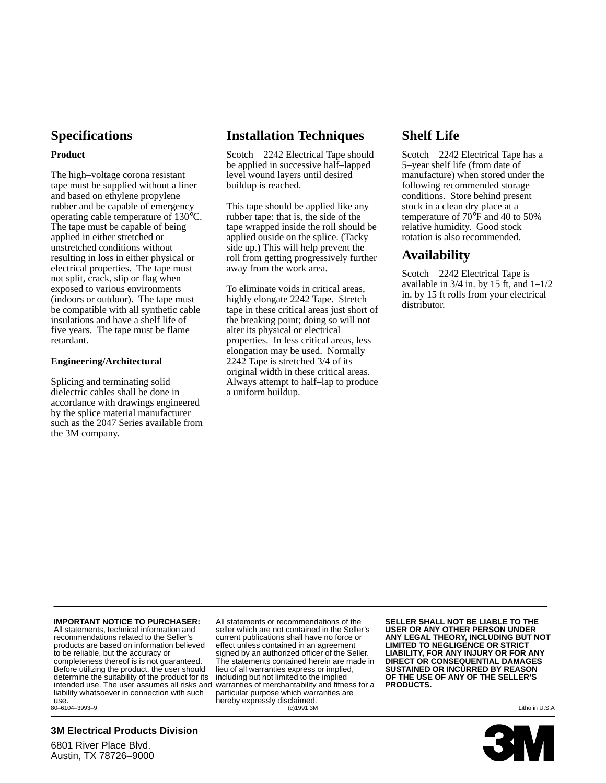## **Specifications**

#### **Product**

The high–voltage corona resistant tape must be supplied without a liner and based on ethylene propylene rubber and be capable of emergency operating cable temperature of 130°C. The tape must be capable of being applied in either stretched or unstretched conditions without resulting in loss in either physical or electrical properties. The tape must not split, crack, slip or flag when exposed to various environments (indoors or outdoor). The tape must be compatible with all synthetic cable insulations and have a shelf life of five years. The tape must be flame retardant.

#### **Engineering/Architectural**

Splicing and terminating solid dielectric cables shall be done in accordance with drawings engineered by the splice material manufacturer such as the 2047 Series available from the 3M company.

## **Installation Techniques**

Scotch<sup>™</sup> 2242 Electrical Tape should be applied in successive half–lapped level wound layers until desired buildup is reached.

This tape should be applied like any rubber tape: that is, the side of the tape wrapped inside the roll should be applied ouside on the splice. (Tacky side up.) This will help prevent the roll from getting progressively further away from the work area.

To eliminate voids in critical areas, highly elongate 2242 Tape. Stretch tape in these critical areas just short of the breaking point; doing so will not alter its physical or electrical properties. In less critical areas, less elongation may be used. Normally 2242 Tape is stretched 3/4 of its original width in these critical areas. Always attempt to half–lap to produce a uniform buildup.

## **Shelf Life**

Scotch<sup>™</sup> 2242 Electrical Tape has a 5–year shelf life (from date of manufacture) when stored under the following recommended storage conditions. Store behind present stock in a clean dry place at a temperature of 70°F and 40 to 50% relative humidity. Good stock rotation is also recommended.

## **Availability**

Scotch<sup>™</sup> 2242 Electrical Tape is available in  $3/4$  in. by 15 ft, and  $1-1/2$ in. by 15 ft rolls from your electrical distributor.

**IMPORTANT NOTICE TO PURCHASER:** All statements, technical information and recommendations related to the Seller's products are based on information believed to be reliable, but the accuracy or completeness thereof is is not guaranteed. Before utilizing the product, the user should determine the suitability of the product for its intended use. The user assumes all risks and liability whatsoever in connection with such

use.<br>80-6104-3993-9

#### **3M Electrical Products Division**

6801 River Place Blvd. Austin, TX 78726–9000

All statements or recommendations of the seller which are not contained in the Seller's current publications shall have no force or effect unless contained in an agreement signed by an authorized officer of the Seller. The statements contained herein are made in lieu of all warranties express or implied, including but not limited to the implied warranties of merchantability and fitness for a particular purpose which warranties are hereby expressly disclaimed.<br>(c)1991 3M 80–6104–3993–9 (c)1991 3M Litho in U.S.A

**SELLER SHALL NOT BE LIABLE TO THE USER OR ANY OTHER PERSON UNDER ANY LEGAL THEORY, INCLUDING BUT NOT LIMITED TO NEGLIGENCE OR STRICT LIABILITY, FOR ANY INJURY OR FOR ANY DIRECT OR CONSEQUENTIAL DAMAGES SUSTAINED OR INCURRED BY REASON OF THE USE OF ANY OF THE SELLER'S PRODUCTS.**